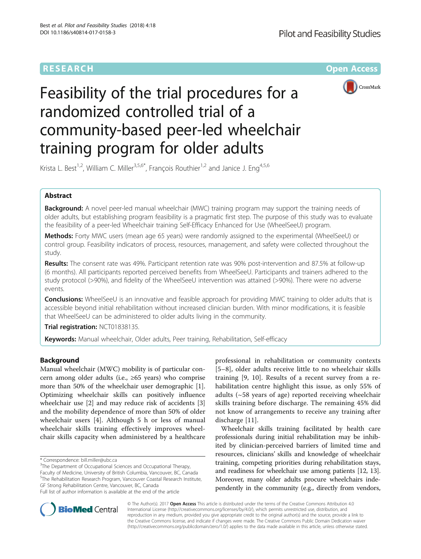# **RESEARCH CHE Open Access**



# Feasibility of the trial procedures for a randomized controlled trial of a community-based peer-led wheelchair training program for older adults

Krista L. Best<sup>1,2</sup>, William C. Miller<sup>3,5,6\*</sup>, François Routhier<sup>1,2</sup> and Janice J. Eng<sup>4,5,6</sup>

# Abstract

**Background:** A novel peer-led manual wheelchair (MWC) training program may support the training needs of older adults, but establishing program feasibility is a pragmatic first step. The purpose of this study was to evaluate the feasibility of a peer-led Wheelchair training Self-Efficacy Enhanced for Use (WheelSeeU) program.

Methods: Forty MWC users (mean age 65 years) were randomly assigned to the experimental (WheelSeeU) or control group. Feasibility indicators of process, resources, management, and safety were collected throughout the study.

Results: The consent rate was 49%. Participant retention rate was 90% post-intervention and 87.5% at follow-up (6 months). All participants reported perceived benefits from WheelSeeU. Participants and trainers adhered to the study protocol (>90%), and fidelity of the WheelSeeU intervention was attained (>90%). There were no adverse events.

**Conclusions:** WheelSeeU is an innovative and feasible approach for providing MWC training to older adults that is accessible beyond initial rehabilitation without increased clinician burden. With minor modifications, it is feasible that WheelSeeU can be administered to older adults living in the community.

Trial registration: [NCT01838135](https://clinicaltrials.gov/ct2/show/NCT01838135).

Keywords: Manual wheelchair, Older adults, Peer training, Rehabilitation, Self-efficacy

# Background

Manual wheelchair (MWC) mobility is of particular concern among older adults (i.e., ≥65 years) who comprise more than 50% of the wheelchair user demographic [\[1](#page-11-0)]. Optimizing wheelchair skills can positively influence wheelchair use [[2\]](#page-11-0) and may reduce risk of accidents [\[3](#page-11-0)] and the mobility dependence of more than 50% of older wheelchair users [\[4](#page-11-0)]. Although 5 h or less of manual wheelchair skills training effectively improves wheelchair skills capacity when administered by a healthcare

<sup>3</sup>The Department of Occupational Sciences and Occupational Therapy, Faculty of Medicine, University of British Columbia, Vancouver, BC, Canada 5 The Rehabilitation Research Program, Vancouver Coastal Research Institute, GF Strong Rehabilitation Centre, Vancouver, BC, Canada

professional in rehabilitation or community contexts [[5](#page-11-0)–[8](#page-11-0)], older adults receive little to no wheelchair skills training [[9, 10\]](#page-11-0). Results of a recent survey from a rehabilitation centre highlight this issue, as only 55% of adults (~58 years of age) reported receiving wheelchair skills training before discharge. The remaining 45% did not know of arrangements to receive any training after discharge [\[11](#page-11-0)].

Wheelchair skills training facilitated by health care professionals during initial rehabilitation may be inhibited by clinician-perceived barriers of limited time and resources, clinicians' skills and knowledge of wheelchair training, competing priorities during rehabilitation stays, and readiness for wheelchair use among patients [[12](#page-11-0), [13](#page-11-0)]. Moreover, many older adults procure wheelchairs independently in the community (e.g., directly from vendors,



© The Author(s). 2017 **Open Access** This article is distributed under the terms of the Creative Commons Attribution 4.0 International License [\(http://creativecommons.org/licenses/by/4.0/](http://creativecommons.org/licenses/by/4.0/)), which permits unrestricted use, distribution, and reproduction in any medium, provided you give appropriate credit to the original author(s) and the source, provide a link to the Creative Commons license, and indicate if changes were made. The Creative Commons Public Domain Dedication waiver [\(http://creativecommons.org/publicdomain/zero/1.0/](http://creativecommons.org/publicdomain/zero/1.0/)) applies to the data made available in this article, unless otherwise stated.

<sup>\*</sup> Correspondence: [bill.miller@ubc.ca](mailto:bill.miller@ubc.ca) <sup>3</sup>

Full list of author information is available at the end of the article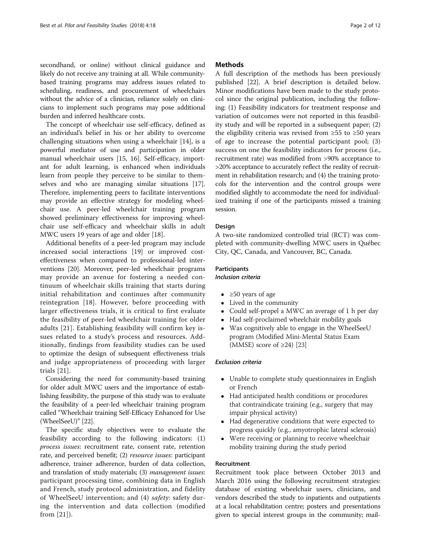secondhand, or online) without clinical guidance and likely do not receive any training at all. While communitybased training programs may address issues related to scheduling, readiness, and procurement of wheelchairs without the advice of a clinician, reliance solely on clinicians to implement such programs may pose additional burden and inferred healthcare costs.

The concept of wheelchair use self-efficacy, defined as an individual's belief in his or her ability to overcome challenging situations when using a wheelchair [[14\]](#page-11-0), is a powerful mediator of use and participation in older manual wheelchair users [\[15, 16](#page-11-0)]. Self-efficacy, important for adult learning, is enhanced when individuals learn from people they perceive to be similar to themselves and who are managing similar situations [\[17](#page-11-0)]. Therefore, implementing peers to facilitate interventions may provide an effective strategy for modeling wheelchair use. A peer-led wheelchair training program showed preliminary effectiveness for improving wheelchair use self-efficacy and wheelchair skills in adult MWC users 19 years of age and older [[18\]](#page-11-0).

Additional benefits of a peer-led program may include increased social interactions [[19](#page-11-0)] or improved costeffectiveness when compared to professional-led interventions [[20\]](#page-11-0). Moreover, peer-led wheelchair programs may provide an avenue for fostering a needed continuum of wheelchair skills training that starts during initial rehabilitation and continues after community reintegration [[18\]](#page-11-0). However, before proceeding with larger effectiveness trials, it is critical to first evaluate the feasibility of peer-led wheelchair training for older adults [[21](#page-11-0)]. Establishing feasibility will confirm key issues related to a study's process and resources. Additionally, findings from feasibility studies can be used to optimize the design of subsequent effectiveness trials and judge appropriateness of proceeding with larger trials [\[21](#page-11-0)].

Considering the need for community-based training for older adult MWC users and the importance of establishing feasibility, the purpose of this study was to evaluate the feasibility of a peer-led wheelchair training program called "Wheelchair training Self-Efficacy Enhanced for Use (WheelSeeU)" [[22](#page-11-0)].

The specific study objectives were to evaluate the feasibility according to the following indicators: (1) process issues: recruitment rate, consent rate, retention rate, and perceived benefit; (2) resource issues: participant adherence, trainer adherence, burden of data collection, and translation of study materials; (3) management issues: participant processing time, combining data in English and French, study protocol administration, and fidelity of WheelSeeU intervention; and (4) safety: safety during the intervention and data collection (modified from [[21\]](#page-11-0)).

# **Methods**

A full description of the methods has been previously published [\[22\]](#page-11-0). A brief description is detailed below. Minor modifications have been made to the study protocol since the original publication, including the following: (1) Feasibility indicators for treatment response and variation of outcomes were not reported in this feasibility study and will be reported in a subsequent paper; (2) the eligibility criteria was revised from ≥55 to ≥50 years of age to increase the potential participant pool; (3) success on one the feasibility indicators for process (i.e., recruitment rate) was modified from >90% acceptance to >20% acceptance to accurately reflect the reality of recruitment in rehabilitation research; and (4) the training protocols for the intervention and the control groups were modified slightly to accommodate the need for individualized training if one of the participants missed a training session.

# Design

A two-site randomized controlled trial (RCT) was completed with community-dwelling MWC users in Québec City, QC, Canada, and Vancouver, BC, Canada.

# **Participants**

# Inclusion criteria

- $\bullet$  ≥50 years of age
- Lived in the community<br>• Could self-propel a MW
- Could self-propel a MWC an average of 1 h per day
- Had self-proclaimed wheelchair mobility goals<br>• Was cognitively able to engage in the WheelSe
- Was cognitively able to engage in the WheelSeeU program (Modified Mini-Mental Status Exam (MMSE) score of  $\geq$ 24) [[23](#page-11-0)]

## Exclusion criteria

- Unable to complete study questionnaires in English or French
- Had anticipated health conditions or procedures that contraindicate training (e.g., surgery that may impair physical activity)
- Had degenerative conditions that were expected to progress quickly (e.g., amyotrophic lateral sclerosis)
- Were receiving or planning to receive wheelchair mobility training during the study period

# Recruitment

Recruitment took place between October 2013 and March 2016 using the following recruitment strategies: database of existing wheelchair users, clinicians, and vendors described the study to inpatients and outpatients at a local rehabilitation centre; posters and presentations given to special interest groups in the community; mail-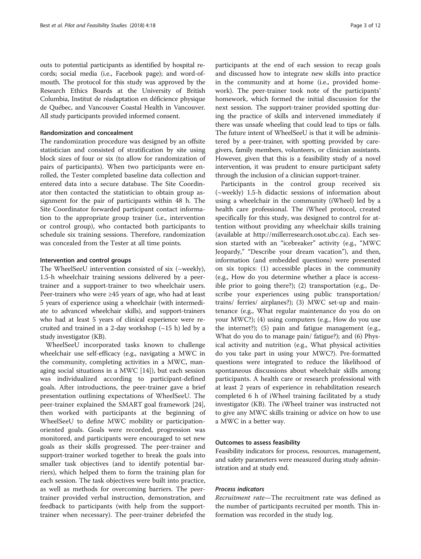outs to potential participants as identified by hospital records; social media (i.e., Facebook page); and word-ofmouth. The protocol for this study was approved by the Research Ethics Boards at the University of British Columbia, Institut de réadaptation en déficience physique de Québec, and Vancouver Coastal Health in Vancouver. All study participants provided informed consent.

#### Randomization and concealment

The randomization procedure was designed by an offsite statistician and consisted of stratification by site using block sizes of four or six (to allow for randomization of pairs of participants). When two participants were enrolled, the Tester completed baseline data collection and entered data into a secure database. The Site Coordinator then contacted the statistician to obtain group assignment for the pair of participants within 48 h. The Site Coordinator forwarded participant contact information to the appropriate group trainer (i.e., intervention or control group), who contacted both participants to schedule six training sessions. Therefore, randomization was concealed from the Tester at all time points.

#### Intervention and control groups

The WheelSeeU intervention consisted of six (~weekly), 1.5-h wheelchair training sessions delivered by a peertrainer and a support-trainer to two wheelchair users. Peer-trainers who were ≥45 years of age, who had at least 5 years of experience using a wheelchair (with intermediate to advanced wheelchair skills), and support-trainers who had at least 5 years of clinical experience were recruited and trained in a 2-day workshop  $(\sim 15 \text{ h})$  led by a study investigator (KB).

WheelSeeU incorporated tasks known to challenge wheelchair use self-efficacy (e.g., navigating a MWC in the community, completing activities in a MWC, managing social situations in a MWC [\[14](#page-11-0)]), but each session was individualized according to participant-defined goals. After introductions, the peer-trainer gave a brief presentation outlining expectations of WheelSeeU. The peer-trainer explained the SMART goal framework [\[24](#page-11-0)], then worked with participants at the beginning of WheelSeeU to define MWC mobility or participationoriented goals. Goals were recorded, progression was monitored, and participants were encouraged to set new goals as their skills progressed. The peer-trainer and support-trainer worked together to break the goals into smaller task objectives (and to identify potential barriers), which helped them to form the training plan for each session. The task objectives were built into practice, as well as methods for overcoming barriers. The peertrainer provided verbal instruction, demonstration, and feedback to participants (with help from the supporttrainer when necessary). The peer-trainer debriefed the

participants at the end of each session to recap goals and discussed how to integrate new skills into practice in the community and at home (i.e., provided homework). The peer-trainer took note of the participants' homework, which formed the initial discussion for the next session. The support-trainer provided spotting during the practice of skills and intervened immediately if there was unsafe wheeling that could lead to tips or falls. The future intent of WheelSeeU is that it will be administered by a peer-trainer, with spotting provided by caregivers, family members, volunteers, or clinician assistants. However, given that this is a feasibility study of a novel intervention, it was prudent to ensure participant safety through the inclusion of a clinician support-trainer.

Participants in the control group received six (~weekly) 1.5-h didactic sessions of information about using a wheelchair in the community (iWheel) led by a health care professional. The iWheel protocol, created specifically for this study, was designed to control for attention without providing any wheelchair skills training (available at [http://millerresearch.osot.ubc.ca\)](http://millerresearch.osot.ubc.ca/). Each session started with an "icebreaker" activity (e.g., "MWC Jeopardy," "Describe your dream vacation"), and then, information (and embedded questions) were presented on six topics: (1) accessible places in the community (e.g., How do you determine whether a place is accessible prior to going there?); (2) transportation (e.g., Describe your experiences using public transportation/ trains/ ferries/ airplanes?); (3) MWC set-up and maintenance (e.g., What regular maintenance do you do on your MWC?); (4) using computers (e.g., How do you use the internet?); (5) pain and fatigue management (e.g., What do you do to manage pain/ fatigue?); and (6) Physical activity and nutrition (e.g., What physical activities do you take part in using your MWC?). Pre-formatted questions were integrated to reduce the likelihood of spontaneous discussions about wheelchair skills among participants. A health care or research professional with at least 2 years of experience in rehabilitation research completed 6 h of iWheel training facilitated by a study investigator (KB). The iWheel trainer was instructed not to give any MWC skills training or advice on how to use a MWC in a better way.

#### Outcomes to assess feasibility

Feasibility indicators for process, resources, management, and safety parameters were measured during study administration and at study end.

# Process indicators

Recruitment rate—The recruitment rate was defined as the number of participants recruited per month. This information was recorded in the study log.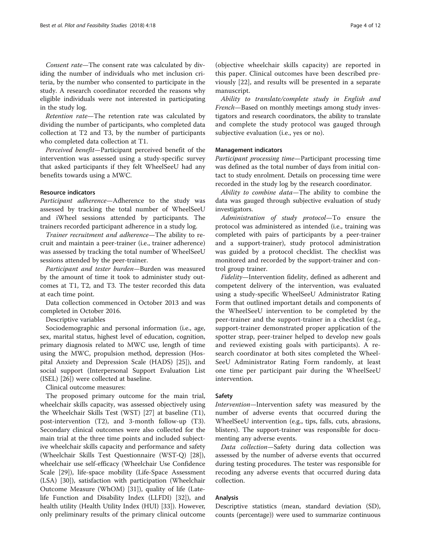Consent rate—The consent rate was calculated by dividing the number of individuals who met inclusion criteria, by the number who consented to participate in the study. A research coordinator recorded the reasons why eligible individuals were not interested in participating in the study log.

Retention rate—The retention rate was calculated by dividing the number of participants, who completed data collection at T2 and T3, by the number of participants who completed data collection at T1.

Perceived benefit—Participant perceived benefit of the intervention was assessed using a study-specific survey that asked participants if they felt WheelSeeU had any benefits towards using a MWC.

### Resource indicators

Participant adherence—Adherence to the study was assessed by tracking the total number of WheelSeeU and iWheel sessions attended by participants. The trainers recorded participant adherence in a study log.

Trainer recruitment and adherence—The ability to recruit and maintain a peer-trainer (i.e., trainer adherence) was assessed by tracking the total number of WheelSeeU sessions attended by the peer-trainer.

Participant and tester burden—Burden was measured by the amount of time it took to administer study outcomes at T1, T2, and T3. The tester recorded this data at each time point.

Data collection commenced in October 2013 and was completed in October 2016.

Descriptive variables

Sociodemographic and personal information (i.e., age, sex, marital status, highest level of education, cognition, primary diagnosis related to MWC use, length of time using the MWC, propulsion method, depression (Hospital Anxiety and Depression Scale (HADS) [\[25](#page-11-0)]), and social support (Interpersonal Support Evaluation List (ISEL) [\[26](#page-11-0)]) were collected at baseline.

Clinical outcome measures:

The proposed primary outcome for the main trial, wheelchair skills capacity, was assessed objectively using the Wheelchair Skills Test (WST) [[27\]](#page-11-0) at baseline (T1), post-intervention (T2), and 3-month follow-up (T3). Secondary clinical outcomes were also collected for the main trial at the three time points and included subjective wheelchair skills capacity and performance and safety (Wheelchair Skills Test Questionnaire (WST-Q) [\[28](#page-11-0)]), wheelchair use self-efficacy (Wheelchair Use Confidence Scale [\[29\]](#page-11-0)), life-space mobility (Life-Space Assessment (LSA) [\[30](#page-11-0)]), satisfaction with participation (Wheelchair Outcome Measure (WhOM) [[31\]](#page-11-0)), quality of life (Latelife Function and Disability Index (LLFDI) [[32](#page-11-0)]), and health utility (Health Utility Index (HUI) [\[33\]](#page-11-0)). However, only preliminary results of the primary clinical outcome (objective wheelchair skills capacity) are reported in this paper. Clinical outcomes have been described previously [\[22](#page-11-0)], and results will be presented in a separate manuscript.

Ability to translate/complete study in English and French—Based on monthly meetings among study investigators and research coordinators, the ability to translate and complete the study protocol was gauged through subjective evaluation (i.e., yes or no).

# Management indicators

Participant processing time—Participant processing time was defined as the total number of days from initial contact to study enrolment. Details on processing time were recorded in the study log by the research coordinator.

Ability to combine data—The ability to combine the data was gauged through subjective evaluation of study investigators.

Administration of study protocol—To ensure the protocol was administered as intended (i.e., training was completed with pairs of participants by a peer-trainer and a support-trainer), study protocol administration was guided by a protocol checklist. The checklist was monitored and recorded by the support-trainer and control group trainer.

Fidelity—Intervention fidelity, defined as adherent and competent delivery of the intervention, was evaluated using a study-specific WheelSeeU Administrator Rating Form that outlined important details and components of the WheelSeeU intervention to be completed by the peer-trainer and the support-trainer in a checklist (e.g., support-trainer demonstrated proper application of the spotter strap, peer-trainer helped to develop new goals and reviewed existing goals with participants). A research coordinator at both sites completed the Wheel-SeeU Administrator Rating Form randomly, at least one time per participant pair during the WheelSeeU intervention.

#### Safety

Intervention—Intervention safety was measured by the number of adverse events that occurred during the WheelSeeU intervention (e.g., tips, falls, cuts, abrasions, blisters). The support-trainer was responsible for documenting any adverse events.

Data collection—Safety during data collection was assessed by the number of adverse events that occurred during testing procedures. The tester was responsible for recoding any adverse events that occurred during data collection.

#### Analysis

Descriptive statistics (mean, standard deviation (SD), counts (percentage)) were used to summarize continuous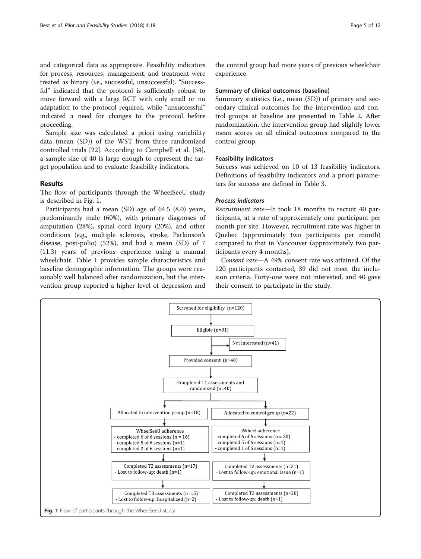and categorical data as appropriate. Feasibility indicators for process, resources, management, and treatment were treated as binary (i.e., successful, unsuccessful). "Successful" indicated that the protocol is sufficiently robust to move forward with a large RCT with only small or no adaptation to the protocol required, while "unsuccessful" indicated a need for changes to the protocol before proceeding.

Sample size was calculated a priori using variability data (mean (SD)) of the WST from three randomized controlled trials [[22\]](#page-11-0). According to Campbell et al. [\[34](#page-11-0)], a sample size of 40 is large enough to represent the target population and to evaluate feasibility indicators.

# Results

The flow of participants through the WheelSeeU study is described in Fig. 1.

Participants had a mean (SD) age of 64.5 (8.0) years, predominantly male (60%), with primary diagnoses of amputation (28%), spinal cord injury (20%), and other conditions (e.g., multiple sclerosis, stroke, Parkinson's disease, post-polio) (52%), and had a mean (SD) of 7 (11.3) years of previous experience using a manual wheelchair. Table [1](#page-5-0) provides sample characteristics and baseline demographic information. The groups were reasonably well balanced after randomization, but the intervention group reported a higher level of depression and

#### Summary of clinical outcomes (baseline)

Summary statistics (i.e., mean (SD)) of primary and secondary clinical outcomes for the intervention and control groups at baseline are presented in Table [2.](#page-6-0) After randomization, the intervention group had slightly lower mean scores on all clinical outcomes compared to the control group.

# Feasibility indicators

Success was achieved on 10 of 13 feasibility indicators. Definitions of feasibility indicators and a priori parameters for success are defined in Table [3](#page-7-0).

# Process indicators

Recruitment rate—It took 18 months to recruit 40 participants, at a rate of approximately one participant per month per site. However, recruitment rate was higher in Quebec (approximately two participants per month) compared to that in Vancouver (approximately two participants every 4 months).

Consent rate—A 49% consent rate was attained. Of the 120 participants contacted, 39 did not meet the inclusion criteria. Forty-one were not interested, and 40 gave their consent to participate in the study.

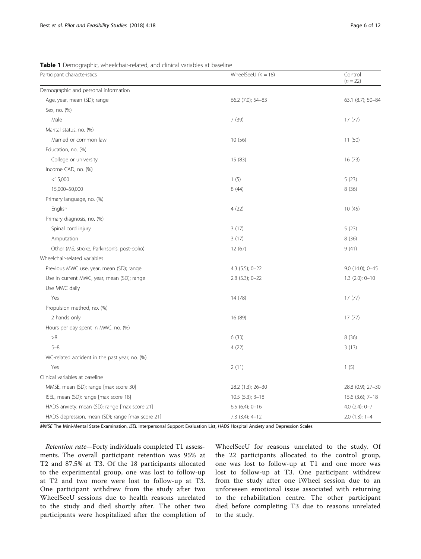| Participant characteristics                      | WheelSeeU $(n = 18)$ | Control<br>$(n = 22)$ |
|--------------------------------------------------|----------------------|-----------------------|
| Demographic and personal information             |                      |                       |
| Age, year, mean (SD); range                      | 66.2 (7.0); 54-83    | 63.1 (8.7); 50-84     |
| Sex, no. (%)                                     |                      |                       |
| Male                                             | 7(39)                | 17(77)                |
| Marital status, no. (%)                          |                      |                       |
| Married or common law                            | 10(56)               | 11(50)                |
| Education, no. (%)                               |                      |                       |
| College or university                            | 15 (83)              | 16(73)                |
| Income CAD, no. (%)                              |                      |                       |
| $<$ 15,000                                       | 1(5)                 | 5(23)                 |
| 15,000-50,000                                    | 8(44)                | 8(36)                 |
| Primary language, no. (%)                        |                      |                       |
| English                                          | 4(22)                | 10(45)                |
| Primary diagnosis, no. (%)                       |                      |                       |
| Spinal cord injury                               | 3(17)                | 5(23)                 |
| Amputation                                       | 3(17)                | 8(36)                 |
| Other (MS, stroke, Parkinson's, post-polio)      | 12 (67)              | 9(41)                 |
| Wheelchair-related variables                     |                      |                       |
| Previous MWC use, year, mean (SD); range         | 4.3 (5.5); 0-22      | 9.0 (14.0); 0-45      |
| Use in current MWC, year, mean (SD); range       | $2.8$ (5.3); 0-22    | $1.3$ (2.0); 0-10     |
| Use MWC daily                                    |                      |                       |
| Yes                                              | 14 (78)              | 17(77)                |
| Propulsion method, no. (%)                       |                      |                       |
| 2 hands only                                     | 16 (89)              | 17(77)                |
| Hours per day spent in MWC, no. (%)              |                      |                       |
| >8                                               | 6(33)                | 8(36)                 |
| $5 - 8$                                          | 4(22)                | 3(13)                 |
| WC-related accident in the past year, no. (%)    |                      |                       |
| Yes                                              | 2(11)                | 1(5)                  |
| Clinical variables at baseline                   |                      |                       |
| MMSE, mean (SD); range [max score 30]            | 28.2 (1.3); 26-30    | 28.8 (0.9); 27-30     |
| ISEL, mean (SD); range [max score 18]            | $10.5(5.3); 3-18$    | $15.6$ (3.6); $7-18$  |
| HADS anxiety, mean (SD); range [max score 21]    | 6.5 (6.4); $0-16$    | 4.0 $(2.4)$ ; 0-7     |
| HADS depression, mean (SD); range [max score 21] | 7.3 (3.4); 4-12      | $2.0$ (1.3); 1-4      |

<span id="page-5-0"></span>Table 1 Demographic, wheelchair-related, and clinical variables at baseline

MMSE The Mini-Mental State Examination, ISEL Interpersonal Support Evaluation List, HADS Hospital Anxiety and Depression Scales

Retention rate—Forty individuals completed T1 assessments. The overall participant retention was 95% at T2 and 87.5% at T3. Of the 18 participants allocated to the experimental group, one was lost to follow-up at T2 and two more were lost to follow-up at T3. One participant withdrew from the study after two WheelSeeU sessions due to health reasons unrelated to the study and died shortly after. The other two participants were hospitalized after the completion of

WheelSeeU for reasons unrelated to the study. Of the 22 participants allocated to the control group, one was lost to follow-up at T1 and one more was lost to follow-up at T3. One participant withdrew from the study after one iWheel session due to an unforeseen emotional issue associated with returning to the rehabilitation centre. The other participant died before completing T3 due to reasons unrelated to the study.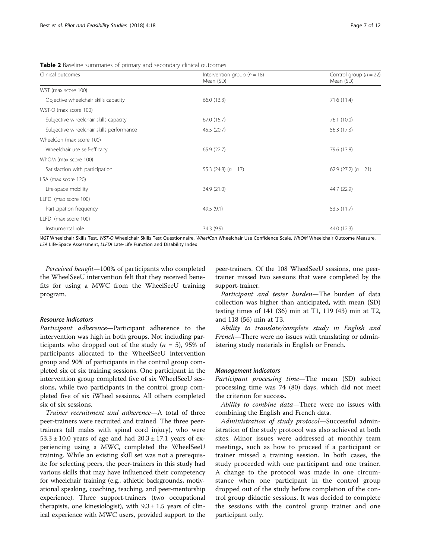<span id="page-6-0"></span>Table 2 Baseline summaries of primary and secondary clinical outcomes

| Clinical outcomes                        | Intervention group ( $n = 18$ )<br>Mean (SD) | Control group ( $n = 22$ )<br>Mean (SD) |
|------------------------------------------|----------------------------------------------|-----------------------------------------|
| WST (max score 100)                      |                                              |                                         |
| Objective wheelchair skills capacity     | 66.0 (13.3)                                  | 71.6(11.4)                              |
| WST-Q (max score 100)                    |                                              |                                         |
| Subjective wheelchair skills capacity    | 67.0 (15.7)                                  | 76.1 (10.0)                             |
| Subjective wheelchair skills performance | 45.5 (20.7)                                  | 56.3 (17.3)                             |
| WheelCon (max score 100)                 |                                              |                                         |
| Wheelchair use self-efficacy             | 65.9 (22.7)                                  | 79.6 (13.8)                             |
| WhOM (max score 100)                     |                                              |                                         |
| Satisfaction with participation          | 55.3 $(24.8)$ $(n = 17)$                     | 62.9 (27.2) $(n = 21)$                  |
| LSA (max score 120)                      |                                              |                                         |
| Life-space mobility                      | 34.9 (21.0)                                  | 44.7 (22.9)                             |
| LLFDI (max score 100)                    |                                              |                                         |
| Participation frequency                  | 49.5(9.1)                                    | 53.5 (11.7)                             |
| LLFDI (max score 100)                    |                                              |                                         |
| Instrumental role                        | 34.3(9.9)                                    | 44.0 (12.3)                             |

WST Wheelchair Skills Test, WST-Q Wheelchair Skills Test Questionnaire, WheelCon Wheelchair Use Confidence Scale, WhOM Wheelchair Outcome Measure, LSA Life-Space Assessment, LLFDI Late-Life Function and Disability Index

Perceived benefit—100% of participants who completed the WheelSeeU intervention felt that they received benefits for using a MWC from the WheelSeeU training program.

# Resource indicators

Participant adherence—Participant adherence to the intervention was high in both groups. Not including participants who dropped out of the study ( $n = 5$ ), 95% of participants allocated to the WheelSeeU intervention group and 90% of participants in the control group completed six of six training sessions. One participant in the intervention group completed five of six WheelSeeU sessions, while two participants in the control group completed five of six iWheel sessions. All others completed six of six sessions.

Trainer recruitment and adherence—A total of three peer-trainers were recruited and trained. The three peertrainers (all males with spinal cord injury), who were  $53.3 \pm 10.0$  years of age and had  $20.3 \pm 17.1$  years of experiencing using a MWC, completed the WheelSeeU training. While an existing skill set was not a prerequisite for selecting peers, the peer-trainers in this study had various skills that may have influenced their competency for wheelchair training (e.g., athletic backgrounds, motivational speaking, coaching, teaching, and peer-mentorship experience). Three support-trainers (two occupational therapists, one kinesiologist), with  $9.3 \pm 1.5$  years of clinical experience with MWC users, provided support to the peer-trainers. Of the 108 WheelSeeU sessions, one peertrainer missed two sessions that were completed by the support-trainer.

Participant and tester burden-The burden of data collection was higher than anticipated, with mean (SD) testing times of 141 (36) min at T1, 119 (43) min at T2, and 118 (56) min at T3.

Ability to translate/complete study in English and French—There were no issues with translating or administering study materials in English or French.

#### Management indicators

Participant processing time—The mean (SD) subject processing time was 74 (80) days, which did not meet the criterion for success.

Ability to combine data-There were no issues with combining the English and French data.

Administration of study protocol-Successful administration of the study protocol was also achieved at both sites. Minor issues were addressed at monthly team meetings, such as how to proceed if a participant or trainer missed a training session. In both cases, the study proceeded with one participant and one trainer. A change to the protocol was made in one circumstance when one participant in the control group dropped out of the study before completion of the control group didactic sessions. It was decided to complete the sessions with the control group trainer and one participant only.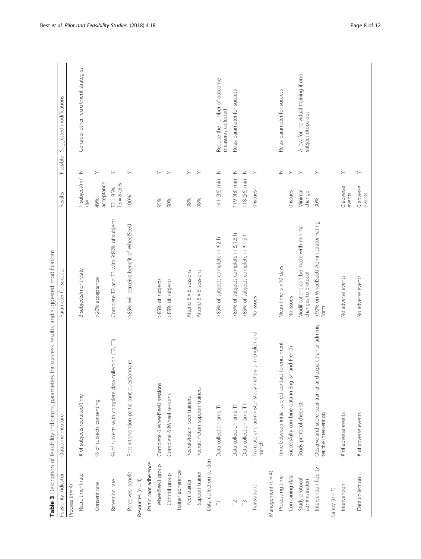| ì<br>l<br>١<br>ś<br>١<br>Ĭ<br>I<br>$\frac{1}{2}$ |
|--------------------------------------------------|
| Ī<br>I<br>i<br>)<br>)<br>5                       |
| j                                                |
| ce roculte<br>ĵ<br>١<br>J                        |
| ニュココ<br>הנה להני הווההה<br>j<br>Ś<br>١           |
| $\frac{1}{2}$                                    |
| こくにいこく<br>j<br>j                                 |
| ī<br>j<br>ļ<br>j<br>ł                            |
| :<br>$\frac{2}{3}$<br>I<br>I<br>l                |
| Ì                                                |
| í<br>ļ<br>Jeso<br>$\mathcal{L}$                  |
| ۴<br>ì                                           |
| able<br>É<br>I                                   |

<span id="page-7-0"></span>

|                                  | Table 3 Description of feasibility indicators, parameters for success, results, and suggested modifications |                                                               |                            |                                                                                                                                                                                                                                                                                                                                                                                                                                                                                                                                                                      |                                                           |
|----------------------------------|-------------------------------------------------------------------------------------------------------------|---------------------------------------------------------------|----------------------------|----------------------------------------------------------------------------------------------------------------------------------------------------------------------------------------------------------------------------------------------------------------------------------------------------------------------------------------------------------------------------------------------------------------------------------------------------------------------------------------------------------------------------------------------------------------------|-----------------------------------------------------------|
| Feasibility indicator            | Outcome measure                                                                                             | Parameter for success                                         | Results                    | Feasible                                                                                                                                                                                                                                                                                                                                                                                                                                                                                                                                                             | Suggested modifications                                   |
| Process $(n = 4)$                |                                                                                                             |                                                               |                            |                                                                                                                                                                                                                                                                                                                                                                                                                                                                                                                                                                      |                                                           |
| Recruitment rate                 | # of subjects recruited/time                                                                                | 2 subjects/month/site                                         | 1 subject/m/<br>site       | z                                                                                                                                                                                                                                                                                                                                                                                                                                                                                                                                                                    | Consider other recruitment strategies                     |
| Consent rate                     | % of subjects consenting                                                                                    | >20% acceptance                                               | acceptance<br>49%          | $\succ$                                                                                                                                                                                                                                                                                                                                                                                                                                                                                                                                                              |                                                           |
| Retention rate                   | % of subjects with complete data collection (T2, T3)                                                        | Complete T2 and T3 with 280% of subjects                      | $T3 = 87.5%$<br>$T2 = 95%$ | $\left. \right. \right. \left. \right. \left. \right. \left. \right. \left. \right. \left. \right. \left. \left. \right. \left. \right. \left. \right. \left. \left. \right. \right. \left. \left. \right. \left. \left. \right. \right. \left. \left. \right. \left. \right. \left. \left. \right. \right. \left. \left. \right. \right. \left. \left. \right. \right. \left. \left. \right. \right. \left. \left. \right. \left. \left. \right. \right. \left. \left. \right. \right. \left. \left. \right. \right. \left. \left. \right. \left. \left. \right. \$ |                                                           |
| Perceived benefit                | Post-intervention participant questionnaire                                                                 | >85% will perceive benefit of WheelSeeU                       | 100%                       | $\left. \right. \right. \left. \right. \left. \right. \left. \right. \left. \right. \left. \right. \left. \left. \right. \left. \right. \left. \right. \left. \left. \right. \right. \left. \left. \right. \left. \left. \right. \right. \left. \left. \right. \left. \right. \left. \left. \right. \right. \left. \left. \right. \right. \left. \left. \right. \right. \left. \left. \right. \right. \left. \left. \right. \left. \left. \right. \right. \left. \left. \right. \right. \left. \left. \right. \right. \left. \left. \right. \left. \left. \right. \$ |                                                           |
| Resources $(n = 4)$              |                                                                                                             |                                                               |                            |                                                                                                                                                                                                                                                                                                                                                                                                                                                                                                                                                                      |                                                           |
| Participant adherence            |                                                                                                             |                                                               |                            |                                                                                                                                                                                                                                                                                                                                                                                                                                                                                                                                                                      |                                                           |
| WheelSeeU group                  | Complete 6 WheelSeeU sessions                                                                               | >85% of subjects                                              | 95%                        | $\succ$                                                                                                                                                                                                                                                                                                                                                                                                                                                                                                                                                              |                                                           |
| Control group                    | Complete 6 iWheel sessions                                                                                  | >85% of subjects                                              | 90%                        | $\succ$                                                                                                                                                                                                                                                                                                                                                                                                                                                                                                                                                              |                                                           |
| Trainer adherence                |                                                                                                             |                                                               |                            |                                                                                                                                                                                                                                                                                                                                                                                                                                                                                                                                                                      |                                                           |
| Peer-trainer                     | Recruit/retain peer-trainers                                                                                | Attend 6 x 5 sessions                                         | 98%                        | $\succ$                                                                                                                                                                                                                                                                                                                                                                                                                                                                                                                                                              |                                                           |
| Support-trainer                  | Recruit /retain support-trainers                                                                            | Attend 6 x 5 sessions                                         | 98%                        | $\succ$                                                                                                                                                                                                                                                                                                                                                                                                                                                                                                                                                              |                                                           |
| Data collection burden           |                                                                                                             |                                                               |                            |                                                                                                                                                                                                                                                                                                                                                                                                                                                                                                                                                                      |                                                           |
| $\overline{\vdash}$              | Data collection time T1                                                                                     | >85% of subjects complete in <2 h                             | 141 (36) min               | Z                                                                                                                                                                                                                                                                                                                                                                                                                                                                                                                                                                    | Reduce the number of outcome<br>measures collected        |
| $\mathop{\Box}$                  | Data collection time T1                                                                                     | >85% of subjects complete in < 1.5 h                          | $119(43)$ min              | Z                                                                                                                                                                                                                                                                                                                                                                                                                                                                                                                                                                    | Relax parameter for success                               |
| $\overline{\Gamma}$              | Data collection time T1                                                                                     | >85% of subjects complete in <1.5 h                           | 118 (56) min               | Z                                                                                                                                                                                                                                                                                                                                                                                                                                                                                                                                                                    |                                                           |
| Translations                     | Translate and administer study materials in English and<br>French                                           | No issues                                                     | 0 issues                   | $\succ$                                                                                                                                                                                                                                                                                                                                                                                                                                                                                                                                                              |                                                           |
| Management (n = 4)               |                                                                                                             |                                                               |                            |                                                                                                                                                                                                                                                                                                                                                                                                                                                                                                                                                                      |                                                           |
| Processing time                  | Time between initial subject contact to enrolment                                                           | Mean time is <10 days                                         |                            | z                                                                                                                                                                                                                                                                                                                                                                                                                                                                                                                                                                    | Relax parameter for success                               |
| Combining data                   | and French<br>Successfully combine data in English                                                          | No issues                                                     | 0 issues                   | $\succ$                                                                                                                                                                                                                                                                                                                                                                                                                                                                                                                                                              |                                                           |
| Study protocol<br>administration | Study protocol checklist                                                                                    | Modifications can be made with minimal<br>changes to protocol | Minimal<br>change          | $\left. \right. \right. \left. \right. \left. \right. \left. \right. \left. \right. \left. \right. \left. \left. \right. \left. \right. \left. \right. \left. \left. \right. \right. \left. \left. \right. \left. \left. \right. \right. \left. \left. \right. \left. \right. \left. \left. \right. \right. \left. \left. \right. \right. \left. \left. \right. \right. \left. \left. \right. \right. \left. \left. \right. \left. \left. \right. \right. \left. \left. \right. \right. \left. \left. \right. \right. \left. \left. \right. \left. \left. \right. \$ | Allow for individual training if one<br>subject drops out |
| Intervention fidelity            | Observe and score peer-trainer and expert trainer adminis-<br>ter the intervention                          | >90% on WheelSeeU Administrator Rating<br>Form                | 90%                        | $\succ$                                                                                                                                                                                                                                                                                                                                                                                                                                                                                                                                                              |                                                           |
| Safety $(n = 1)$                 |                                                                                                             |                                                               |                            |                                                                                                                                                                                                                                                                                                                                                                                                                                                                                                                                                                      |                                                           |
| Intervention                     | # of adverse events                                                                                         | No adverse events                                             | 0 adverse<br>events        | $\succ$                                                                                                                                                                                                                                                                                                                                                                                                                                                                                                                                                              |                                                           |
| Data collection                  | # of adverse events                                                                                         | No adverse events                                             | 0 adverse<br>events        | $\succ$                                                                                                                                                                                                                                                                                                                                                                                                                                                                                                                                                              |                                                           |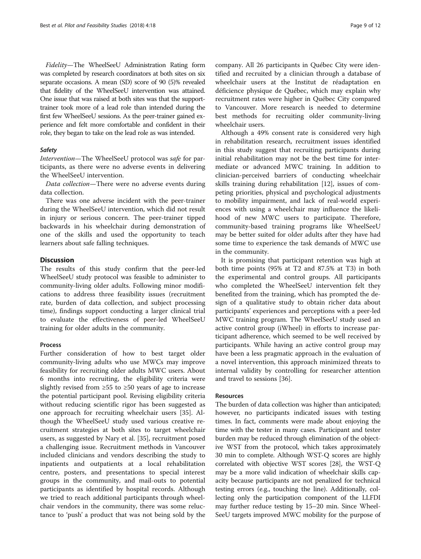Fidelity—The WheelSeeU Administration Rating form was completed by research coordinators at both sites on six separate occasions. A mean (SD) score of 90 (5)% revealed that fidelity of the WheelSeeU intervention was attained. One issue that was raised at both sites was that the supporttrainer took more of a lead role than intended during the first few WheelSeeU sessions. As the peer-trainer gained experience and felt more comfortable and confident in their role, they began to take on the lead role as was intended.

#### Safety

Intervention—The WheelSeeU protocol was safe for participants, as there were no adverse events in delivering the WheelSeeU intervention.

Data collection—There were no adverse events during data collection.

There was one adverse incident with the peer-trainer during the WheelSeeU intervention, which did not result in injury or serious concern. The peer-trainer tipped backwards in his wheelchair during demonstration of one of the skills and used the opportunity to teach learners about safe falling techniques.

# **Discussion**

The results of this study confirm that the peer-led WheelSeeU study protocol was feasible to administer to community-living older adults. Following minor modifications to address three feasibility issues (recruitment rate, burden of data collection, and subject processing time), findings support conducting a larger clinical trial to evaluate the effectiveness of peer-led WheelSeeU training for older adults in the community.

#### Process

Further consideration of how to best target older community-living adults who use MWCs may improve feasibility for recruiting older adults MWC users. About 6 months into recruiting, the eligibility criteria were slightly revised from  $\geq 55$  to  $\geq 50$  years of age to increase the potential participant pool. Revising eligibility criteria without reducing scientific rigor has been suggested as one approach for recruiting wheelchair users [[35](#page-11-0)]. Although the WheelSeeU study used various creative recruitment strategies at both sites to target wheelchair users, as suggested by Nary et al. [\[35](#page-11-0)], recruitment posed a challenging issue. Recruitment methods in Vancouver included clinicians and vendors describing the study to inpatients and outpatients at a local rehabilitation centre, posters, and presentations to special interest groups in the community, and mail-outs to potential participants as identified by hospital records. Although we tried to reach additional participants through wheelchair vendors in the community, there was some reluctance to 'push' a product that was not being sold by the company. All 26 participants in Québec City were identified and recruited by a clinician through a database of wheelchair users at the Institut de réadaptation en déficience physique de Québec, which may explain why recruitment rates were higher in Québec City compared to Vancouver. More research is needed to determine best methods for recruiting older community-living wheelchair users.

Although a 49% consent rate is considered very high in rehabilitation research, recruitment issues identified in this study suggest that recruiting participants during initial rehabilitation may not be the best time for intermediate or advanced MWC training. In addition to clinician-perceived barriers of conducting wheelchair skills training during rehabilitation [[12\]](#page-11-0), issues of competing priorities, physical and psychological adjustments to mobility impairment, and lack of real-world experiences with using a wheelchair may influence the likelihood of new MWC users to participate. Therefore, community-based training programs like WheelSeeU may be better suited for older adults after they have had some time to experience the task demands of MWC use in the community.

It is promising that participant retention was high at both time points (95% at T2 and 87.5% at T3) in both the experimental and control groups. All participants who completed the WheelSeeU intervention felt they benefited from the training, which has prompted the design of a qualitative study to obtain richer data about participants' experiences and perceptions with a peer-led MWC training program. The WheelSeeU study used an active control group (iWheel) in efforts to increase participant adherence, which seemed to be well received by participants. While having an active control group may have been a less pragmatic approach in the evaluation of a novel intervention, this approach minimized threats to internal validity by controlling for researcher attention and travel to sessions [\[36\]](#page-11-0).

#### Resources

The burden of data collection was higher than anticipated; however, no participants indicated issues with testing times. In fact, comments were made about enjoying the time with the tester in many cases. Participant and tester burden may be reduced through elimination of the objective WST from the protocol, which takes approximately 30 min to complete. Although WST-Q scores are highly correlated with objective WST scores [[28](#page-11-0)], the WST-Q may be a more valid indication of wheelchair skills capacity because participants are not penalized for technical testing errors (e.g., touching the line). Additionally, collecting only the participation component of the LLFDI may further reduce testing by 15–20 min. Since Wheel-SeeU targets improved MWC mobility for the purpose of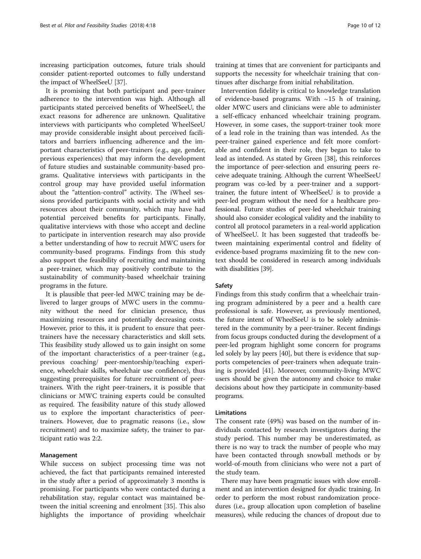increasing participation outcomes, future trials should consider patient-reported outcomes to fully understand the impact of WheelSeeU [[37\]](#page-11-0).

It is promising that both participant and peer-trainer adherence to the intervention was high. Although all participants stated perceived benefits of WheelSeeU, the exact reasons for adherence are unknown. Qualitative interviews with participants who completed WheelSeeU may provide considerable insight about perceived facilitators and barriers influencing adherence and the important characteristics of peer-trainers (e.g., age, gender, previous experiences) that may inform the development of future studies and sustainable community-based programs. Qualitative interviews with participants in the control group may have provided useful information about the "attention-control" activity. The iWheel sessions provided participants with social activity and with resources about their community, which may have had potential perceived benefits for participants. Finally, qualitative interviews with those who accept and decline to participate in intervention research may also provide a better understanding of how to recruit MWC users for community-based programs. Findings from this study also support the feasibility of recruiting and maintaining a peer-trainer, which may positively contribute to the sustainability of community-based wheelchair training programs in the future.

It is plausible that peer-led MWC training may be delivered to larger groups of MWC users in the community without the need for clinician presence, thus maximizing resources and potentially decreasing costs. However, prior to this, it is prudent to ensure that peertrainers have the necessary characteristics and skill sets. This feasibility study allowed us to gain insight on some of the important characteristics of a peer-trainer (e.g., previous coaching/ peer-mentorship/teaching experience, wheelchair skills, wheelchair use confidence), thus suggesting prerequisites for future recruitment of peertrainers. With the right peer-trainers, it is possible that clinicians or MWC training experts could be consulted as required. The feasibility nature of this study allowed us to explore the important characteristics of peertrainers. However, due to pragmatic reasons (i.e., slow recruitment) and to maximize safety, the trainer to participant ratio was 2:2.

#### Management

While success on subject processing time was not achieved, the fact that participants remained interested in the study after a period of approximately 3 months is promising. For participants who were contacted during a rehabilitation stay, regular contact was maintained between the initial screening and enrolment [\[35\]](#page-11-0). This also highlights the importance of providing wheelchair training at times that are convenient for participants and supports the necessity for wheelchair training that continues after discharge from initial rehabilitation.

Intervention fidelity is critical to knowledge translation of evidence-based programs. With  $~15$  h of training, older MWC users and clinicians were able to administer a self-efficacy enhanced wheelchair training program. However, in some cases, the support-trainer took more of a lead role in the training than was intended. As the peer-trainer gained experience and felt more comfortable and confident in their role, they began to take to lead as intended. As stated by Green [\[38\]](#page-11-0), this reinforces the importance of peer-selection and ensuring peers receive adequate training. Although the current WheelSeeU program was co-led by a peer-trainer and a supporttrainer, the future intent of WheelSeeU is to provide a peer-led program without the need for a healthcare professional. Future studies of peer-led wheelchair training should also consider ecological validity and the inability to control all protocol parameters in a real-world application of WheelSeeU. It has been suggested that tradeoffs between maintaining experimental control and fidelity of evidence-based programs maximizing fit to the new context should be considered in research among individuals with disabilities [\[39\]](#page-11-0).

#### Safety

Findings from this study confirm that a wheelchair training program administered by a peer and a health care professional is safe. However, as previously mentioned, the future intent of WheelSeeU is to be solely administered in the community by a peer-trainer. Recent findings from focus groups conducted during the development of a peer-led program highlight some concern for programs led solely by lay peers [\[40\]](#page-11-0), but there is evidence that supports competencies of peer-trainers when adequate training is provided [\[41\]](#page-11-0). Moreover, community-living MWC users should be given the autonomy and choice to make decisions about how they participate in community-based programs.

#### Limitations

The consent rate (49%) was based on the number of individuals contacted by research investigators during the study period. This number may be underestimated, as there is no way to track the number of people who may have been contacted through snowball methods or by world-of-mouth from clinicians who were not a part of the study team.

There may have been pragmatic issues with slow enrollment and an intervention designed for dyadic training. In order to perform the most robust randomization procedures (i.e., group allocation upon completion of baseline measures), while reducing the chances of dropout due to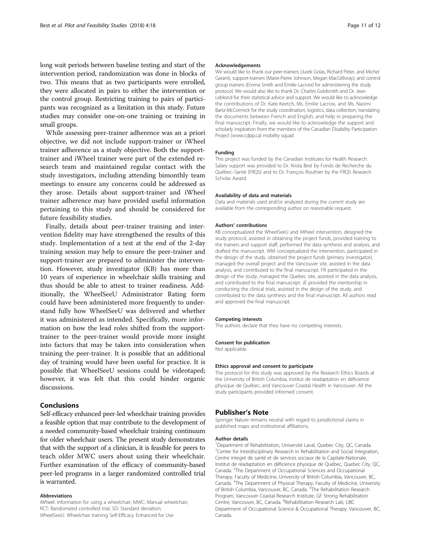long wait periods between baseline testing and start of the intervention period, randomization was done in blocks of two. This means that as two participants were enrolled, they were allocated in pairs to either the intervention or the control group. Restricting training to pairs of participants was recognized as a limitation in this study. Future studies may consider one-on-one training or training in small groups.

While assessing peer-trainer adherence was an a priori objective, we did not include support-trainer or iWheel trainer adherence as a study objective. Both the supporttrainer and iWheel trainer were part of the extended research team and maintained regular contact with the study investigators, including attending bimonthly team meetings to ensure any concerns could be addressed as they arose. Details about support-trainer and iWheel trainer adherence may have provided useful information pertaining to this study and should be considered for future feasibility studies.

Finally, details about peer-trainer training and intervention fidelity may have strengthened the results of this study. Implementation of a test at the end of the 2-day training session may help to ensure the peer-trainer and support-trainer are prepared to administer the intervention. However, study investigator (KB) has more than 10 years of experience in wheelchair skills training and thus should be able to attest to trainer readiness. Additionally, the WheelSeeU Administrator Rating form could have been administered more frequently to understand fully how WheelSeeU was delivered and whether it was administered as intended. Specifically, more information on how the lead roles shifted from the supporttrainer to the peer-trainer would provide more insight into factors that may be taken into consideration when training the peer-trainer. It is possible that an additional day of training would have been useful for practice. It is possible that WheelSeeU sessions could be videotaped; however, it was felt that this could hinder organic discussions.

# Conclusions

Self-efficacy enhanced peer-led wheelchair training provides a feasible option that may contribute to the development of a needed community-based wheelchair training continuum for older wheelchair users. The present study demonstrates that with the support of a clinician, it is feasible for peers to teach older MWC users about using their wheelchair. Further examination of the efficacy of community-based peer-led programs in a larger randomized controlled trial is warranted.

#### Abbreviations

iWheel: Information for using a wheelchair; MWC: Manual wheelchair; RCT: Randomized controlled trial; SD: Standard deviation; WheelSeeU: Wheelchair training Self-Efficacy Enhanced for Use

#### Acknowledgements

We would like to thank our peer-trainers (Jurek Golas, Richard Peter, and Michel Garant), support-trainers (Marie-Pierre Johnson, Megan MacGillivray), and control group trainers (Emma Smith and Emilie Lacroix) for administering the study protocol. We would also like to thank Dr. Charles Goldsmith and Dr. Jean Leblond for their statistical advice and support. We would like to acknowledge the contributions of Dr. Kate Keetch, Ms. Emilie Lacroix, and Ms. Naomi Bartz-McCormick for the study coordination, logistics, data collection, translating the documents between French and English, and help in preparing the final manuscript. Finally, we would like to acknowledge the support and scholarly inspiration from the members of the Canadian Disability Participation Project ([www.cdpp.ca](http://www.cdpp.ca/)) mobility squad.

#### Funding

This project was funded by the Canadian Institutes for Health Research. Salary support was provided to Dr. Krista Best by Fonds de Recherche du Québec–Santé (FRQS) and to Dr. François Routhier by the FRQS Research Scholar Award.

#### Availability of data and materials

Data and materials used and/or analyzed during the current study are available from the corresponding author on reasonable request.

#### Authors' contributions

KB conceptualized the WheelSeeU and iWheel intervention, designed the study protocol, assisted in obtaining the project funds, provided training to the trainers and support staff, performed the data synthesis and analysis, and drafted the manuscript. WM conceptualized the intervention, participated in the design of the study, obtained the project funds (primary investigator), managed the overall project and the Vancouver site, assisted in the data analysis, and contributed to the final manuscript. FR participated in the design of the study, managed the Quebec site, assisted in the data analysis, and contributed to the final manuscript. JE provided the mentorship in conducting the clinical trials, assisted in the design of the study, and contributed to the data synthesis and the final manuscript. All authors read and approved the final manuscript.

#### Competing interests

The authors declare that they have no competing interests.

#### Consent for publication

Not applicable.

#### Ethics approval and consent to participate

The protocol for this study was approved by the Research Ethics Boards at the University of British Columbia, Institut de réadaptation en déficience physique de Québec, and Vancouver Coastal Health in Vancouver. All the study participants provided informed consent.

#### Publisher's Note

Springer Nature remains neutral with regard to jurisdictional claims in published maps and institutional affiliations.

#### Author details

<sup>1</sup>Department of Rehabilitation, Université Laval, Quebec City, QC, Canada <sup>2</sup> Center for Interdisciplinary Research in Rehabilitation and Social Integration Centre integré de santé et de services sociaux de la Capitale-Nationale, Institut de réadaptation en déficience physique de Québec, Quebec City, QC, Canada. <sup>3</sup> The Department of Occupational Sciences and Occupational Therapy, Faculty of Medicine, University of British Columbia, Vancouver, BC, Canada. <sup>4</sup> The Department of Physical Therapy, Faculty of Medicine, University of British Columbia, Vancouver, BC, Canada. <sup>5</sup>The Rehabilitation Research Program, Vancouver Coastal Research Institute, GF Strong Rehabilitation Centre, Vancouver, BC, Canada. <sup>6</sup>Rehabilitation Research Lab, UBC Department of Occupational Science & Occupational Therapy, Vancouver, BC, Canada.